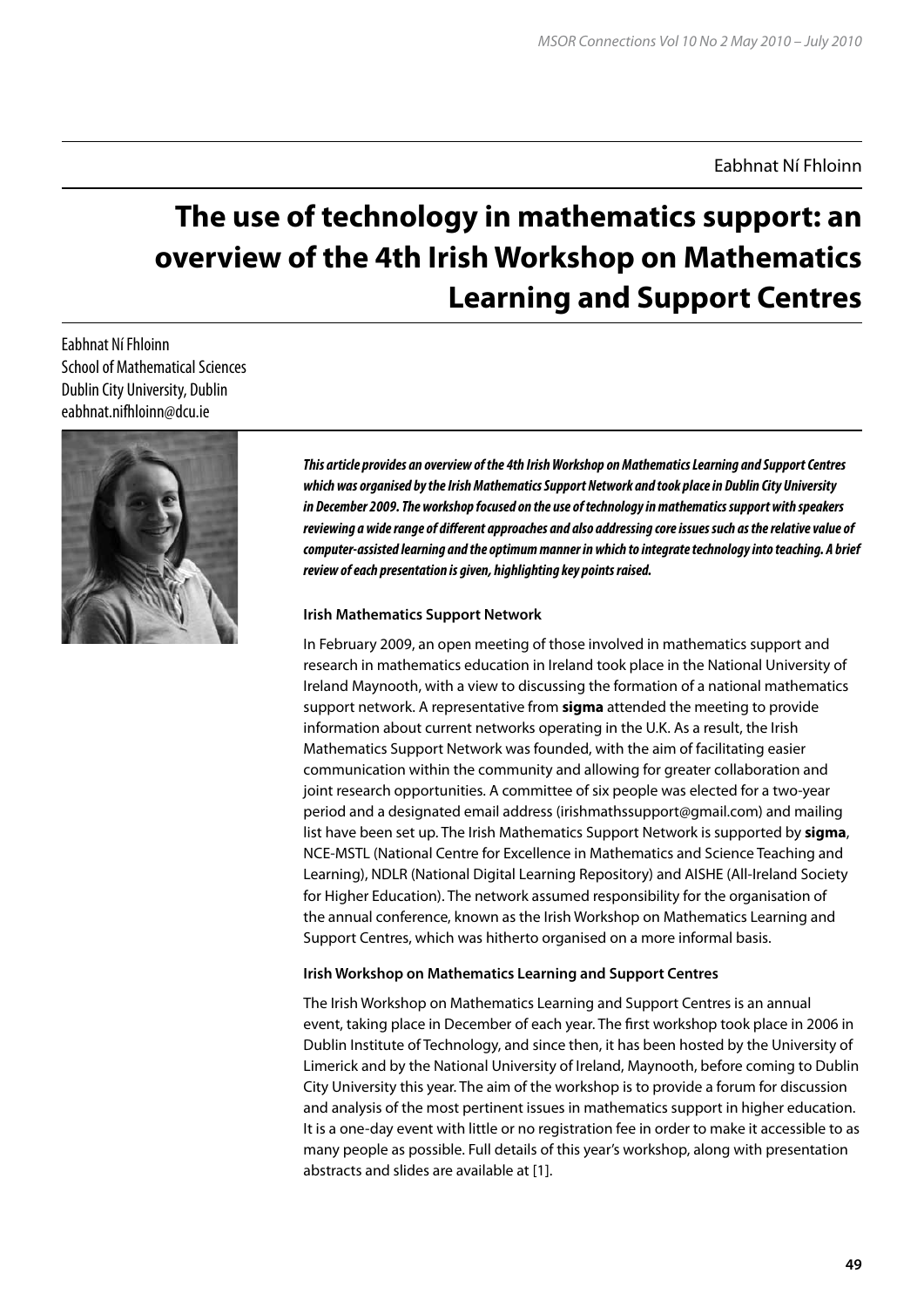# Eabhnat Ní Fhloinn

# **The use of technology in mathematics support: an overview of the 4th Irish Workshop on Mathematics Learning and Support Centres**

Eabhnat Ní Fhloinn School of Mathematical Sciences Dublin City University, Dublin eabhnat.nifhloinn@dcu.ie



*This article provides an overview of the 4th Irish Workshop on Mathematics Learning and Support Centres which was organised by the Irish Mathematics Support Network and took place in Dublin City University in December 2009. The workshop focused on the use of technology in mathematics support with speakers reviewing a wide range of different approaches and also addressing core issues such as the relative value of computer-assisted learning and the optimum manner in which to integrate technology into teaching. A brief review of each presentation is given, highlighting key points raised.* 

#### **Irish Mathematics Support Network**

In February 2009, an open meeting of those involved in mathematics support and research in mathematics education in Ireland took place in the National University of Ireland Maynooth, with a view to discussing the formation of a national mathematics support network. A representative from **sigma** attended the meeting to provide information about current networks operating in the U.K. As a result, the Irish Mathematics Support Network was founded, with the aim of facilitating easier communication within the community and allowing for greater collaboration and joint research opportunities. A committee of six people was elected for a two-year period and a designated email address (irishmathssupport@gmail.com) and mailing list have been set up. The Irish Mathematics Support Network is supported by **sigma**, NCE-MSTL (National Centre for Excellence in Mathematics and Science Teaching and Learning), NDLR (National Digital Learning Repository) and AISHE (All-Ireland Society for Higher Education). The network assumed responsibility for the organisation of the annual conference, known as the Irish Workshop on Mathematics Learning and Support Centres, which was hitherto organised on a more informal basis.

#### **Irish Workshop on Mathematics Learning and Support Centres**

The Irish Workshop on Mathematics Learning and Support Centres is an annual event, taking place in December of each year. The first workshop took place in 2006 in Dublin Institute of Technology, and since then, it has been hosted by the University of Limerick and by the National University of Ireland, Maynooth, before coming to Dublin City University this year. The aim of the workshop is to provide a forum for discussion and analysis of the most pertinent issues in mathematics support in higher education. It is a one-day event with little or no registration fee in order to make it accessible to as many people as possible. Full details of this year's workshop, along with presentation abstracts and slides are available at [1].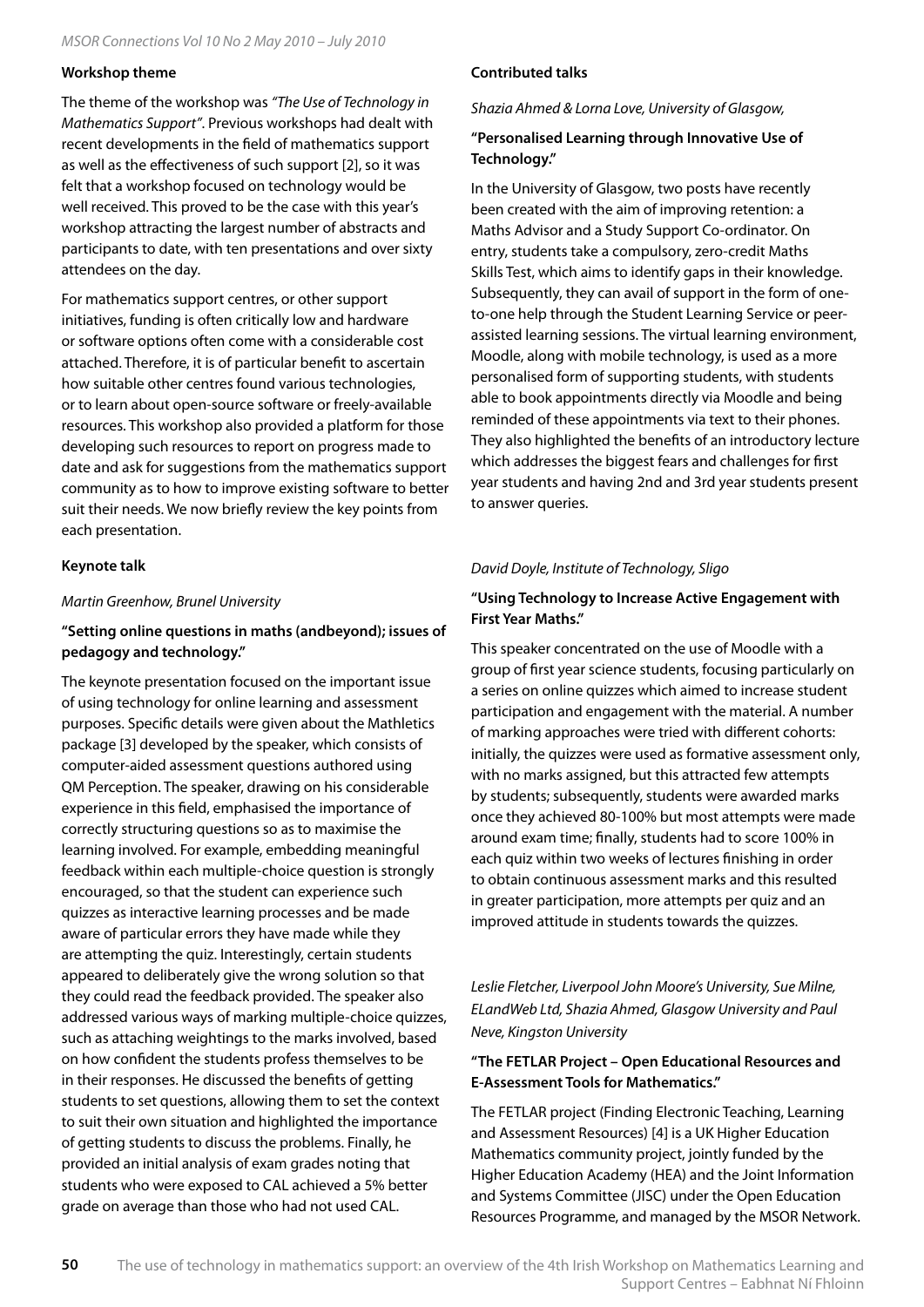#### **Workshop theme**

The theme of the workshop was *"The Use of Technology in Mathematics Support"*. Previous workshops had dealt with recent developments in the field of mathematics support as well as the effectiveness of such support [2], so it was felt that a workshop focused on technology would be well received. This proved to be the case with this year's workshop attracting the largest number of abstracts and participants to date, with ten presentations and over sixty attendees on the day.

For mathematics support centres, or other support initiatives, funding is often critically low and hardware or software options often come with a considerable cost attached. Therefore, it is of particular benefit to ascertain how suitable other centres found various technologies, or to learn about open-source software or freely-available resources. This workshop also provided a platform for those developing such resources to report on progress made to date and ask for suggestions from the mathematics support community as to how to improve existing software to better suit their needs. We now briefly review the key points from each presentation.

#### **Keynote talk**

#### *Martin Greenhow, Brunel University*

# **"Setting online questions in maths (andbeyond); issues of pedagogy and technology."**

The keynote presentation focused on the important issue of using technology for online learning and assessment purposes. Specific details were given about the Mathletics package [3] developed by the speaker, which consists of computer-aided assessment questions authored using QM Perception. The speaker, drawing on his considerable experience in this field, emphasised the importance of correctly structuring questions so as to maximise the learning involved. For example, embedding meaningful feedback within each multiple-choice question is strongly encouraged, so that the student can experience such quizzes as interactive learning processes and be made aware of particular errors they have made while they are attempting the quiz. Interestingly, certain students appeared to deliberately give the wrong solution so that they could read the feedback provided. The speaker also addressed various ways of marking multiple-choice quizzes, such as attaching weightings to the marks involved, based on how confident the students profess themselves to be in their responses. He discussed the benefits of getting students to set questions, allowing them to set the context to suit their own situation and highlighted the importance of getting students to discuss the problems. Finally, he provided an initial analysis of exam grades noting that students who were exposed to CAL achieved a 5% better grade on average than those who had not used CAL.

## **Contributed talks**

*Shazia Ahmed & Lorna Love, University of Glasgow,* 

## **"Personalised Learning through Innovative Use of Technology."**

In the University of Glasgow, two posts have recently been created with the aim of improving retention: a Maths Advisor and a Study Support Co-ordinator. On entry, students take a compulsory, zero-credit Maths Skills Test, which aims to identify gaps in their knowledge. Subsequently, they can avail of support in the form of oneto-one help through the Student Learning Service or peerassisted learning sessions. The virtual learning environment, Moodle, along with mobile technology, is used as a more personalised form of supporting students, with students able to book appointments directly via Moodle and being reminded of these appointments via text to their phones. They also highlighted the benefits of an introductory lecture which addresses the biggest fears and challenges for first year students and having 2nd and 3rd year students present to answer queries.

#### *David Doyle, Institute of Technology, Sligo*

# **"Using Technology to Increase Active Engagement with First Year Maths."**

This speaker concentrated on the use of Moodle with a group of first year science students, focusing particularly on a series on online quizzes which aimed to increase student participation and engagement with the material. A number of marking approaches were tried with different cohorts: initially, the quizzes were used as formative assessment only, with no marks assigned, but this attracted few attempts by students; subsequently, students were awarded marks once they achieved 80-100% but most attempts were made around exam time; finally, students had to score 100% in each quiz within two weeks of lectures finishing in order to obtain continuous assessment marks and this resulted in greater participation, more attempts per quiz and an improved attitude in students towards the quizzes.

*Leslie Fletcher, Liverpool John Moore's University, Sue Milne, ELandWeb Ltd, Shazia Ahmed, Glasgow University and Paul Neve, Kingston University*

## **"The FETLAR Project – Open Educational Resources and E-Assessment Tools for Mathematics."**

The FETLAR project (Finding Electronic Teaching, Learning and Assessment Resources) [4] is a UK Higher Education Mathematics community project, jointly funded by the Higher Education Academy (HEA) and the Joint Information and Systems Committee (JISC) under the Open Education Resources Programme, and managed by the MSOR Network.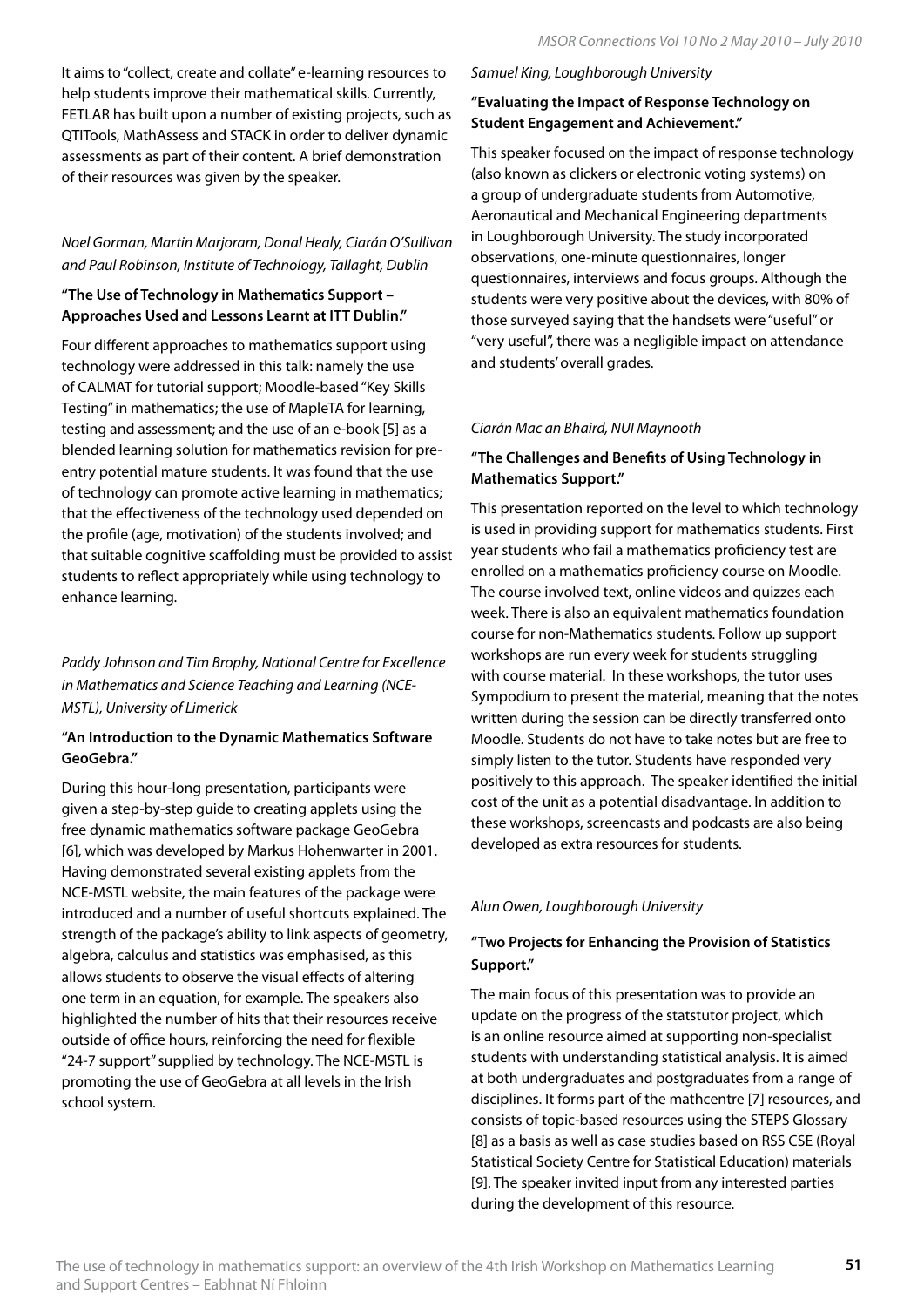It aims to "collect, create and collate" e-learning resources to help students improve their mathematical skills. Currently, FETLAR has built upon a number of existing projects, such as QTITools, MathAssess and STACK in order to deliver dynamic assessments as part of their content. A brief demonstration of their resources was given by the speaker.

# *Noel Gorman, Martin Marjoram, Donal Healy, Ciarán O'Sullivan and Paul Robinson, Institute of Technology, Tallaght, Dublin*

# **"The Use of Technology in Mathematics Support – Approaches Used and Lessons Learnt at ITT Dublin."**

Four different approaches to mathematics support using technology were addressed in this talk: namely the use of CALMAT for tutorial support; Moodle-based "Key Skills Testing" in mathematics; the use of MapleTA for learning, testing and assessment; and the use of an e-book [5] as a blended learning solution for mathematics revision for preentry potential mature students. It was found that the use of technology can promote active learning in mathematics; that the effectiveness of the technology used depended on the profile (age, motivation) of the students involved; and that suitable cognitive scaffolding must be provided to assist students to reflect appropriately while using technology to enhance learning.

*Paddy Johnson and Tim Brophy, National Centre for Excellence in Mathematics and Science Teaching and Learning (NCE-MSTL), University of Limerick*

# **"An Introduction to the Dynamic Mathematics Software GeoGebra."**

During this hour-long presentation, participants were given a step-by-step guide to creating applets using the free dynamic mathematics software package GeoGebra [6], which was developed by Markus Hohenwarter in 2001. Having demonstrated several existing applets from the NCE-MSTL website, the main features of the package were introduced and a number of useful shortcuts explained. The strength of the package's ability to link aspects of geometry, algebra, calculus and statistics was emphasised, as this allows students to observe the visual effects of altering one term in an equation, for example. The speakers also highlighted the number of hits that their resources receive outside of office hours, reinforcing the need for flexible "24-7 support" supplied by technology. The NCE-MSTL is promoting the use of GeoGebra at all levels in the Irish school system.

## *Samuel King, Loughborough University*

# **"Evaluating the Impact of Response Technology on Student Engagement and Achievement."**

This speaker focused on the impact of response technology (also known as clickers or electronic voting systems) on a group of undergraduate students from Automotive, Aeronautical and Mechanical Engineering departments in Loughborough University. The study incorporated observations, one-minute questionnaires, longer questionnaires, interviews and focus groups. Although the students were very positive about the devices, with 80% of those surveyed saying that the handsets were "useful" or "very useful", there was a negligible impact on attendance and students' overall grades.

# *Ciarán Mac an Bhaird, NUI Maynooth*

# **"The Challenges and Benefits of Using Technology in Mathematics Support."**

This presentation reported on the level to which technology is used in providing support for mathematics students. First year students who fail a mathematics proficiency test are enrolled on a mathematics proficiency course on Moodle. The course involved text, online videos and quizzes each week. There is also an equivalent mathematics foundation course for non-Mathematics students. Follow up support workshops are run every week for students struggling with course material. In these workshops, the tutor uses Sympodium to present the material, meaning that the notes written during the session can be directly transferred onto Moodle. Students do not have to take notes but are free to simply listen to the tutor. Students have responded very positively to this approach. The speaker identified the initial cost of the unit as a potential disadvantage. In addition to these workshops, screencasts and podcasts are also being developed as extra resources for students.

# *Alun Owen, Loughborough University*

# **"Two Projects for Enhancing the Provision of Statistics Support."**

The main focus of this presentation was to provide an update on the progress of the statstutor project, which is an online resource aimed at supporting non-specialist students with understanding statistical analysis. It is aimed at both undergraduates and postgraduates from a range of disciplines. It forms part of the mathcentre [7] resources, and consists of topic-based resources using the STEPS Glossary [8] as a basis as well as case studies based on RSS CSE (Royal Statistical Society Centre for Statistical Education) materials [9]. The speaker invited input from any interested parties during the development of this resource.